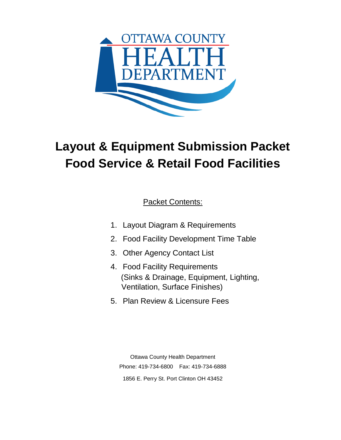

# **Layout & Equipment Submission Packet Food Service & Retail Food Facilities**

Packet Contents:

- 1. Layout Diagram & Requirements
- 2. Food Facility Development Time Table
- 3. Other Agency Contact List
- 4. Food Facility Requirements (Sinks & Drainage, Equipment, Lighting, Ventilation, Surface Finishes)
- 5. Plan Review & Licensure Fees

Ottawa County Health Department Phone: 419-734-6800 Fax: 419-734-6888 1856 E. Perry St. Port Clinton OH 43452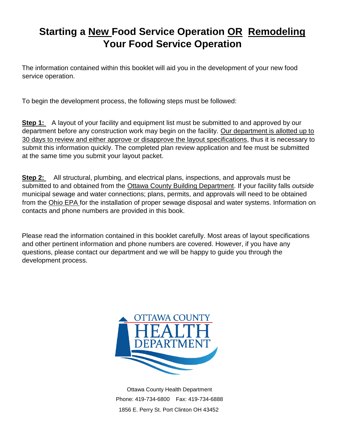## **Starting a New Food Service Operation OR Remodeling Your Food Service Operation**

The information contained within this booklet will aid you in the development of your new food service operation.

To begin the development process, the following steps must be followed:

**Step 1:** A layout of your facility and equipment list must be submitted to and approved by our department before any construction work may begin on the facility. Our department is allotted up to 30 days to review and either approve or disapprove the layout specifications, thus it is necessary to submit this information quickly. The completed plan review application and fee must be submitted at the same time you submit your layout packet.

**Step 2:** All structural, plumbing, and electrical plans, inspections, and approvals must be submitted to and obtained from the Ottawa County Building Department. If your facility falls *outside* municipal sewage and water connections; plans, permits, and approvals will need to be obtained from the Ohio EPA for the installation of proper sewage disposal and water systems. Information on contacts and phone numbers are provided in this book.

Please read the information contained in this booklet carefully. Most areas of layout specifications and other pertinent information and phone numbers are covered. However, if you have any questions, please contact our department and we will be happy to guide you through the development process.



Ottawa County Health Department Phone: 419-734-6800 Fax: 419-734-6888 1856 E. Perry St. Port Clinton OH 43452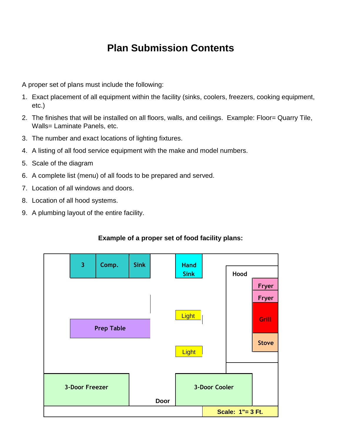### **Plan Submission Contents**

A proper set of plans must include the following:

- 1. Exact placement of all equipment within the facility (sinks, coolers, freezers, cooking equipment, etc.)
- 2. The finishes that will be installed on all floors, walls, and ceilings. Example: Floor= Quarry Tile, Walls= Laminate Panels, etc.
- 3. The number and exact locations of lighting fixtures.
- 4. A listing of all food service equipment with the make and model numbers.
- 5. Scale of the diagram
- 6. A complete list (menu) of all foods to be prepared and served.
- 7. Location of all windows and doors.
- 8. Location of all hood systems.
- 9. A plumbing layout of the entire facility.

#### **Example of a proper set of food facility plans:**

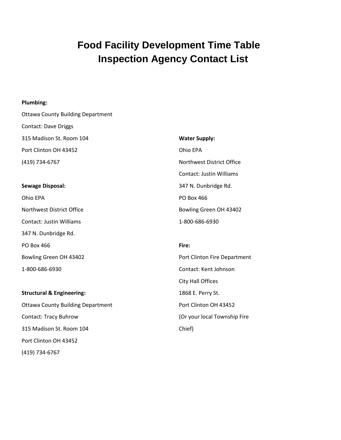### **Food Facility Development Time Table Inspection Agency Contact List**

#### **Plumbing:**

(419) 734-6767

Ottawa County Building Department Contact: Dave Driggs 315 Madison St. Room 104 Port Clinton OH 43452 (419) 734-6767 **Sewage Disposal:**  Ohio EPA Northwest District Office Contact: Justin Williams 347 N. Dunbridge Rd. PO Box 466 Bowling Green OH 43402 1-800-686-6930 **Structural & Engineering:** Ottawa County Building Department Contact: Tracy Buhrow 315 Madison St. Room 104 Port Clinton OH 43452 **Water Supply:** Ohio EPA Northwest District Office Contact: Justin Williams 347 N. Dunbridge Rd. PO Box 466 Bowling Green OH 43402 1-800-686-6930 **Fire:**  Port Clinton Fire Department Contact: Kent Johnson City Hall Offices 1868 E. Perry St. Port Clinton OH 43452 (Or your local Township Fire Chief)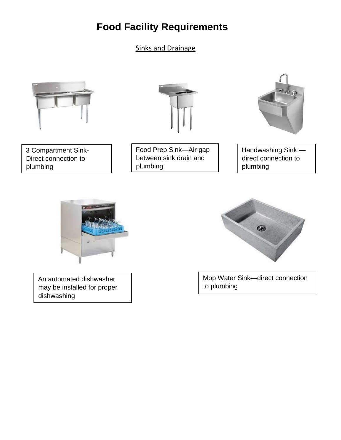### **Food Facility Requirements**

Sinks and Drainage



3 Compartment Sink-Direct connection to plumbing



Food Prep Sink—Air gap between sink drain and plumbing



Handwashing Sink direct connection to plumbing



An automated dishwasher may be installed for proper dishwashing



Mop Water Sink—direct connection to plumbing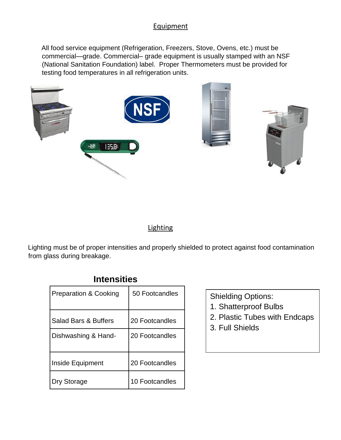#### **Equipment**

All food service equipment (Refrigeration, Freezers, Stove, Ovens, etc.) must be commercial—grade. Commercial– grade equipment is usually stamped with an NSF (National Sanitation Foundation) label. Proper Thermometers must be provided for testing food temperatures in all refrigeration units.



#### **Lighting**

Lighting must be of proper intensities and properly shielded to protect against food contamination from glass during breakage.

### **Intensities**

| <b>Preparation &amp; Cooking</b> | 50 Footcandles |
|----------------------------------|----------------|
| <b>Salad Bars &amp; Buffers</b>  | 20 Footcandles |
| Dishwashing & Hand-              | 20 Footcandles |
| Inside Equipment                 | 20 Footcandles |
| Dry Storage                      | 10 Footcandles |

Shielding Options:

- 1. Shatterproof Bulbs
- 2. Plastic Tubes with Endcaps
- 3. Full Shields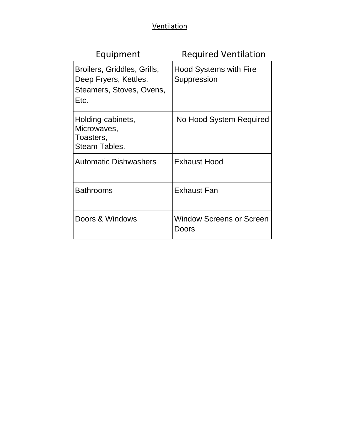### **Ventilation**

| Equipment                                                                                | <b>Required Ventilation</b>              |
|------------------------------------------------------------------------------------------|------------------------------------------|
| Broilers, Griddles, Grills,<br>Deep Fryers, Kettles,<br>Steamers, Stoves, Ovens,<br>Etc. | Hood Systems with Fire<br>Suppression    |
| Holding-cabinets,<br>Microwaves,<br>Toasters,<br>Steam Tables.                           | No Hood System Required                  |
| <b>Automatic Dishwashers</b>                                                             | <b>Exhaust Hood</b>                      |
| <b>Bathrooms</b>                                                                         | <b>Exhaust Fan</b>                       |
| Doors & Windows                                                                          | <b>Window Screens or Screen</b><br>Doors |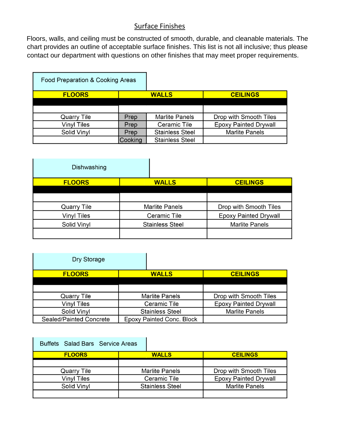#### Surface Finishes

Floors, walls, and ceiling must be constructed of smooth, durable, and cleanable materials. The chart provides an outline of acceptable surface finishes. This list is not all inclusive; thus please contact our department with questions on other finishes that may meet proper requirements.

| Food Preparation & Cooking Areas |         |                        |                              |
|----------------------------------|---------|------------------------|------------------------------|
| <b>FLOORS</b>                    |         | <b>WALLS</b>           | <b>CEILINGS</b>              |
|                                  |         |                        |                              |
|                                  |         |                        |                              |
| Quarry Tile                      | Prep    | <b>Marlite Panels</b>  | Drop with Smooth Tiles       |
| <b>Vinyl Tiles</b>               | Prep    | Ceramic Tile           | <b>Epoxy Painted Drywall</b> |
| Solid Vinyl                      | Prep    | <b>Stainless Steel</b> | <b>Marlite Panels</b>        |
|                                  | Cooking | <b>Stainless Steel</b> |                              |

| Dishwashing        |                        |                              |
|--------------------|------------------------|------------------------------|
| <b>FLOORS</b>      | <b>WALLS</b>           | <b>CEILINGS</b>              |
|                    |                        |                              |
|                    |                        |                              |
| <b>Quarry Tile</b> | <b>Marlite Panels</b>  | Drop with Smooth Tiles       |
| <b>Vinyl Tiles</b> | Ceramic Tile           | <b>Epoxy Painted Drywall</b> |
| Solid Vinyl        | <b>Stainless Steel</b> | <b>Marlite Panels</b>        |
|                    |                        |                              |

| Dry Storage             |                                  |                              |
|-------------------------|----------------------------------|------------------------------|
| <b>FLOORS</b>           | <b>WALLS</b>                     | <b>CEILINGS</b>              |
|                         |                                  |                              |
|                         |                                  |                              |
| <b>Quarry Tile</b>      | <b>Marlite Panels</b>            | Drop with Smooth Tiles       |
| <b>Vinyl Tiles</b>      | Ceramic Tile                     | <b>Epoxy Painted Drywall</b> |
| Solid Vinyl             | <b>Stainless Steel</b>           | <b>Marlite Panels</b>        |
| Sealed/Painted Concrete | <b>Epoxy Painted Conc. Block</b> |                              |

| Buffets Salad Bars Service Areas |                        |                              |
|----------------------------------|------------------------|------------------------------|
| <b>FLOORS</b>                    | <b>WALLS</b>           | <b>CEILINGS</b>              |
|                                  |                        |                              |
| Quarry Tile                      | <b>Marlite Panels</b>  | Drop with Smooth Tiles       |
| <b>Vinyl Tiles</b>               | Ceramic Tile           | <b>Epoxy Painted Drywall</b> |
| Solid Vinyl                      | <b>Stainless Steel</b> | <b>Marlite Panels</b>        |
|                                  |                        |                              |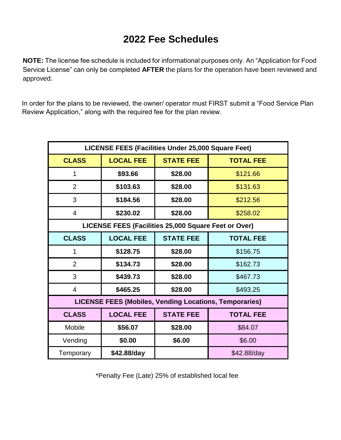### **2022 Fee Schedules**

**NOTE:** The license fee schedule is included for informational purposes only. An "Application for Food Service License" can only be completed **AFTER** the plans for the operation have been reviewed and approved.

In order for the plans to be reviewed, the owner/ operator must FIRST submit a "Food Service Plan Review Application," along with the required fee for the plan review.

| LICENSE FEES (Facilities Under 25,000 Square Feet)            |                  |                  |                  |
|---------------------------------------------------------------|------------------|------------------|------------------|
| <b>CLASS</b>                                                  | <b>LOCAL FEE</b> | <b>STATE FEE</b> | <b>TOTAL FEE</b> |
| 1                                                             | \$93.66          | \$28.00          | \$121.66         |
| $\overline{2}$                                                | \$103.63         | \$28.00          | \$131.63         |
| 3                                                             | \$184.56         | \$28.00          | \$212.56         |
| 4                                                             | \$230.02         | \$28.00          | \$258.02         |
| LICENSE FEES (Facilities 25,000 Square Feet or Over)          |                  |                  |                  |
| <b>CLASS</b>                                                  | <b>LOCAL FEE</b> | <b>STATE FEE</b> | <b>TOTAL FEE</b> |
| 1                                                             | \$128.75         | \$28.00          | \$156.75         |
| $\overline{2}$                                                | \$134.73         | \$28.00          | \$162.73         |
| 3                                                             | \$439.73         | \$28.00          | \$467.73         |
| $\overline{4}$                                                | \$465.25         | \$28.00          | \$493.25         |
| <b>LICENSE FEES (Mobiles, Vending Locations, Temporaries)</b> |                  |                  |                  |
| <b>CLASS</b>                                                  | <b>LOCAL FEE</b> | <b>STATE FEE</b> | <b>TOTAL FEE</b> |
| <b>Mobile</b>                                                 | \$56.07          | \$28.00          | \$84.07          |
| Vending                                                       | \$0.00           | \$6.00           | \$6.00           |
| Temporary                                                     | \$42.88/day      |                  | \$42.88/day      |

\*Penalty Fee (Late) 25% of established local fee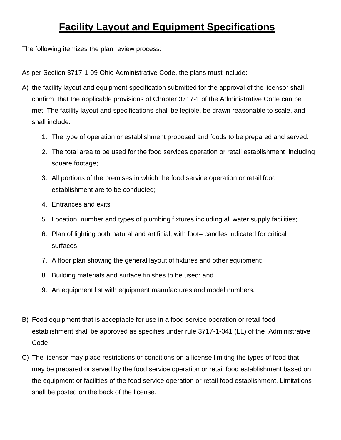### **Facility Layout and Equipment Specifications**

The following itemizes the plan review process:

As per Section 3717-1-09 Ohio Administrative Code, the plans must include:

- A) the facility layout and equipment specification submitted for the approval of the licensor shall confirm that the applicable provisions of Chapter 3717-1 of the Administrative Code can be met. The facility layout and specifications shall be legible, be drawn reasonable to scale, and shall include:
	- 1. The type of operation or establishment proposed and foods to be prepared and served.
	- 2. The total area to be used for the food services operation or retail establishment including square footage;
	- 3. All portions of the premises in which the food service operation or retail food establishment are to be conducted;
	- 4. Entrances and exits
	- 5. Location, number and types of plumbing fixtures including all water supply facilities;
	- 6. Plan of lighting both natural and artificial, with foot– candles indicated for critical surfaces;
	- 7. A floor plan showing the general layout of fixtures and other equipment;
	- 8. Building materials and surface finishes to be used; and
	- 9. An equipment list with equipment manufactures and model numbers.
- B) Food equipment that is acceptable for use in a food service operation or retail food establishment shall be approved as specifies under rule 3717-1-041 (LL) of the Administrative Code.
- C) The licensor may place restrictions or conditions on a license limiting the types of food that may be prepared or served by the food service operation or retail food establishment based on the equipment or facilities of the food service operation or retail food establishment. Limitations shall be posted on the back of the license.